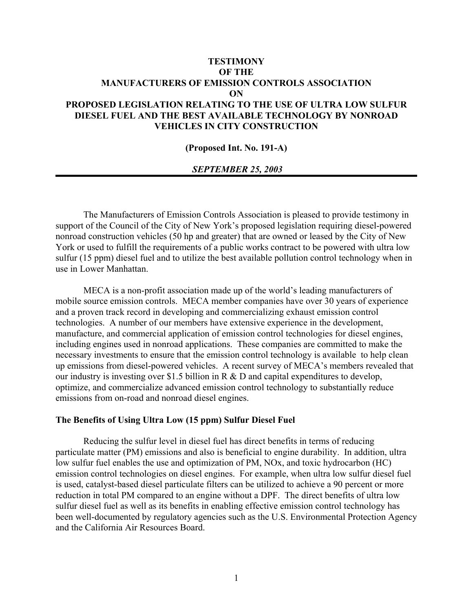# **TESTIMONY OF THE MANUFACTURERS OF EMISSION CONTROLS ASSOCIATION ON PROPOSED LEGISLATION RELATING TO THE USE OF ULTRA LOW SULFUR DIESEL FUEL AND THE BEST AVAILABLE TECHNOLOGY BY NONROAD VEHICLES IN CITY CONSTRUCTION**

#### **(Proposed Int. No. 191-A)**

### *SEPTEMBER 25, 2003*

The Manufacturers of Emission Controls Association is pleased to provide testimony in support of the Council of the City of New York's proposed legislation requiring diesel-powered nonroad construction vehicles (50 hp and greater) that are owned or leased by the City of New York or used to fulfill the requirements of a public works contract to be powered with ultra low sulfur (15 ppm) diesel fuel and to utilize the best available pollution control technology when in use in Lower Manhattan.

MECA is a non-profit association made up of the world's leading manufacturers of mobile source emission controls. MECA member companies have over 30 years of experience and a proven track record in developing and commercializing exhaust emission control technologies. A number of our members have extensive experience in the development, manufacture, and commercial application of emission control technologies for diesel engines, including engines used in nonroad applications. These companies are committed to make the necessary investments to ensure that the emission control technology is available to help clean up emissions from diesel-powered vehicles. A recent survey of MECA's members revealed that our industry is investing over \$1.5 billion in R & D and capital expenditures to develop, optimize, and commercialize advanced emission control technology to substantially reduce emissions from on-road and nonroad diesel engines.

### **The Benefits of Using Ultra Low (15 ppm) Sulfur Diesel Fuel**

Reducing the sulfur level in diesel fuel has direct benefits in terms of reducing particulate matter (PM) emissions and also is beneficial to engine durability. In addition, ultra low sulfur fuel enables the use and optimization of PM, NOx, and toxic hydrocarbon (HC) emission control technologies on diesel engines. For example, when ultra low sulfur diesel fuel is used, catalyst-based diesel particulate filters can be utilized to achieve a 90 percent or more reduction in total PM compared to an engine without a DPF. The direct benefits of ultra low sulfur diesel fuel as well as its benefits in enabling effective emission control technology has been well-documented by regulatory agencies such as the U.S. Environmental Protection Agency and the California Air Resources Board.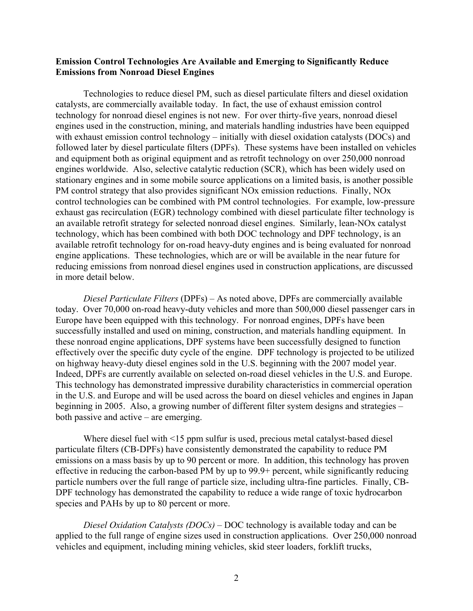## **Emission Control Technologies Are Available and Emerging to Significantly Reduce Emissions from Nonroad Diesel Engines**

Technologies to reduce diesel PM, such as diesel particulate filters and diesel oxidation catalysts, are commercially available today. In fact, the use of exhaust emission control technology for nonroad diesel engines is not new. For over thirty-five years, nonroad diesel engines used in the construction, mining, and materials handling industries have been equipped with exhaust emission control technology – initially with diesel oxidation catalysts (DOCs) and followed later by diesel particulate filters (DPFs). These systems have been installed on vehicles and equipment both as original equipment and as retrofit technology on over 250,000 nonroad engines worldwide. Also, selective catalytic reduction (SCR), which has been widely used on stationary engines and in some mobile source applications on a limited basis, is another possible PM control strategy that also provides significant NOx emission reductions. Finally, NOx control technologies can be combined with PM control technologies. For example, low-pressure exhaust gas recirculation (EGR) technology combined with diesel particulate filter technology is an available retrofit strategy for selected nonroad diesel engines. Similarly, lean-NOx catalyst technology, which has been combined with both DOC technology and DPF technology, is an available retrofit technology for on-road heavy-duty engines and is being evaluated for nonroad engine applications. These technologies, which are or will be available in the near future for reducing emissions from nonroad diesel engines used in construction applications, are discussed in more detail below.

*Diesel Particulate Filters* (DPFs) – As noted above, DPFs are commercially available today. Over 70,000 on-road heavy-duty vehicles and more than 500,000 diesel passenger cars in Europe have been equipped with this technology. For nonroad engines, DPFs have been successfully installed and used on mining, construction, and materials handling equipment. In these nonroad engine applications, DPF systems have been successfully designed to function effectively over the specific duty cycle of the engine. DPF technology is projected to be utilized on highway heavy-duty diesel engines sold in the U.S. beginning with the 2007 model year. Indeed, DPFs are currently available on selected on-road diesel vehicles in the U.S. and Europe. This technology has demonstrated impressive durability characteristics in commercial operation in the U.S. and Europe and will be used across the board on diesel vehicles and engines in Japan beginning in 2005. Also, a growing number of different filter system designs and strategies – both passive and active – are emerging.

Where diesel fuel with <15 ppm sulfur is used, precious metal catalyst-based diesel particulate filters (CB-DPFs) have consistently demonstrated the capability to reduce PM emissions on a mass basis by up to 90 percent or more. In addition, this technology has proven effective in reducing the carbon-based PM by up to 99.9+ percent, while significantly reducing particle numbers over the full range of particle size, including ultra-fine particles. Finally, CB-DPF technology has demonstrated the capability to reduce a wide range of toxic hydrocarbon species and PAHs by up to 80 percent or more.

*Diesel Oxidation Catalysts (DOCs)* – DOC technology is available today and can be applied to the full range of engine sizes used in construction applications. Over 250,000 nonroad vehicles and equipment, including mining vehicles, skid steer loaders, forklift trucks,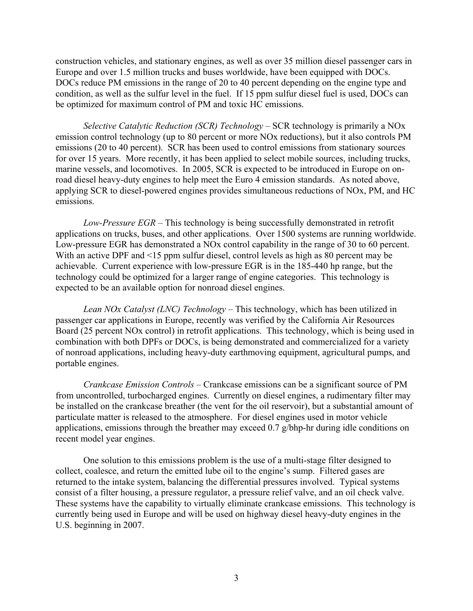construction vehicles, and stationary engines, as well as over 35 million diesel passenger cars in Europe and over 1.5 million trucks and buses worldwide, have been equipped with DOCs. DOCs reduce PM emissions in the range of 20 to 40 percent depending on the engine type and condition, as well as the sulfur level in the fuel. If 15 ppm sulfur diesel fuel is used, DOCs can be optimized for maximum control of PM and toxic HC emissions.

*Selective Catalytic Reduction (SCR) Technology* – SCR technology is primarily a NOx emission control technology (up to 80 percent or more NOx reductions), but it also controls PM emissions (20 to 40 percent). SCR has been used to control emissions from stationary sources for over 15 years. More recently, it has been applied to select mobile sources, including trucks, marine vessels, and locomotives. In 2005, SCR is expected to be introduced in Europe on onroad diesel heavy-duty engines to help meet the Euro 4 emission standards. As noted above, applying SCR to diesel-powered engines provides simultaneous reductions of NOx, PM, and HC emissions.

*Low-Pressure EGR* – This technology is being successfully demonstrated in retrofit applications on trucks, buses, and other applications. Over 1500 systems are running worldwide. Low-pressure EGR has demonstrated a NOx control capability in the range of 30 to 60 percent. With an active DPF and <15 ppm sulfur diesel, control levels as high as 80 percent may be achievable. Current experience with low-pressure EGR is in the 185-440 hp range, but the technology could be optimized for a larger range of engine categories. This technology is expected to be an available option for nonroad diesel engines.

*Lean NOx Catalyst (LNC) Technology* – This technology, which has been utilized in passenger car applications in Europe, recently was verified by the California Air Resources Board (25 percent NOx control) in retrofit applications. This technology, which is being used in combination with both DPFs or DOCs, is being demonstrated and commercialized for a variety of nonroad applications, including heavy-duty earthmoving equipment, agricultural pumps, and portable engines.

*Crankcase Emission Controls* – Crankcase emissions can be a significant source of PM from uncontrolled, turbocharged engines. Currently on diesel engines, a rudimentary filter may be installed on the crankcase breather (the vent for the oil reservoir), but a substantial amount of particulate matter is released to the atmosphere. For diesel engines used in motor vehicle applications, emissions through the breather may exceed 0.7 g/bhp-hr during idle conditions on recent model year engines.

One solution to this emissions problem is the use of a multi-stage filter designed to collect, coalesce, and return the emitted lube oil to the engine's sump. Filtered gases are returned to the intake system, balancing the differential pressures involved. Typical systems consist of a filter housing, a pressure regulator, a pressure relief valve, and an oil check valve. These systems have the capability to virtually eliminate crankcase emissions. This technology is currently being used in Europe and will be used on highway diesel heavy-duty engines in the U.S. beginning in 2007.